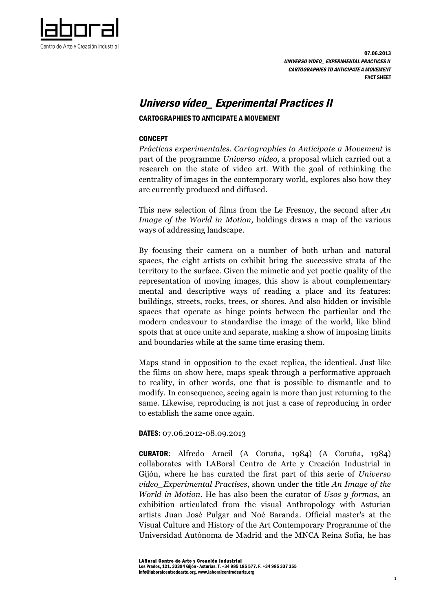

# Universo vídeo\_ Experimental Practices II

## CARTOGRAPHIES TO ANTICIPATE A MOVEMENT

#### **CONCEPT**

*Prácticas experimentales. Cartographies to Anticipate a Movement* is part of the programme *Universo vídeo,* a proposal which carried out a research on the state of video art. With the goal of rethinking the centrality of images in the contemporary world*,* explores also how they are currently produced and diffused.

This new selection of films from the Le Fresnoy, the second after *An Image of the World in Motion,* holdings draws a map of the various ways of addressing landscape.

By focusing their camera on a number of both urban and natural spaces, the eight artists on exhibit bring the successive strata of the territory to the surface. Given the mimetic and yet poetic quality of the representation of moving images, this show is about complementary mental and descriptive ways of reading a place and its features: buildings, streets, rocks, trees, or shores. And also hidden or invisible spaces that operate as hinge points between the particular and the modern endeavour to standardise the image of the world, like blind spots that at once unite and separate, making a show of imposing limits and boundaries while at the same time erasing them.

Maps stand in opposition to the exact replica, the identical. Just like the films on show here, maps speak through a performative approach to reality, in other words, one that is possible to dismantle and to modify. In consequence, seeing again is more than just returning to the same. Likewise, reproducing is not just a case of reproducing in order to establish the same once again.

#### DATES: 07.06.2012-08.09.2013

CURATOR: Alfredo Aracil (A Coruña, 1984) (A Coruña, 1984) collaborates with LABoral Centro de Arte y Creación Industrial in Gijón, where he has curated the first part of this serie of *Universo video\_Experimental Practises*, shown under the title *An Image of the World in Motion.* He has also been the curator of *Usos y formas*, an exhibition articulated from the visual Anthropology with Asturian artists Juan José Pulgar and Noé Baranda. Official master's at the Visual Culture and History of the Art Contemporary Programme of the Universidad Autónoma de Madrid and the MNCA Reina Sofía, he has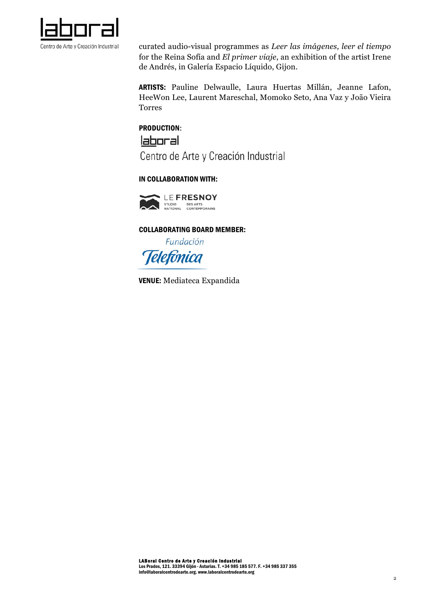

curated audio-visual programmes as *Leer las imágenes, leer el tiempo* for the Reina Sofía and *El primer viaje*, an exhibition of the artist Irene de Andrés, in Galería Espacio Líquido, Gijon.

ARTISTS: Pauline Delwaulle, Laura Huertas Millán, Jeanne Lafon, HeeWon Lee, Laurent Mareschal, Momoko Seto, Ana Vaz y João Vieira Torres

# PRODUCTION:

laboral

Centro de Arte y Creación Industrial

# IN COLLABORATION WITH:



## COLLABORATING BOARD MEMBER:

Fundación **Telefonica** 

VENUE: Mediateca Expandida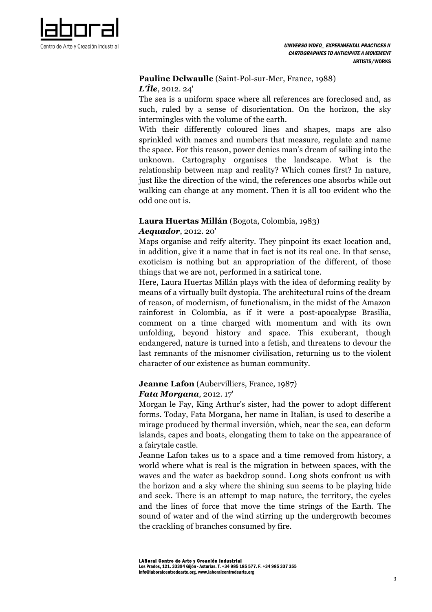

## **Pauline Delwaulle** (Saint-Pol-sur-Mer, France, 1988) *L'Île*, 2012. 24'

The sea is a uniform space where all references are foreclosed and, as such, ruled by a sense of disorientation. On the horizon, the sky intermingles with the volume of the earth.

With their differently coloured lines and shapes, maps are also sprinkled with names and numbers that measure, regulate and name the space. For this reason, power denies man's dream of sailing into the unknown. Cartography organises the landscape. What is the relationship between map and reality? Which comes first? In nature, just like the direction of the wind, the references one absorbs while out walking can change at any moment. Then it is all too evident who the odd one out is.

# **Laura Huertas Millán** (Bogota, Colombia, 1983)

## *Aequador*, 2012. 20'

Maps organise and reify alterity. They pinpoint its exact location and, in addition, give it a name that in fact is not its real one. In that sense, exoticism is nothing but an appropriation of the different, of those things that we are not, performed in a satirical tone.

Here, Laura Huertas Millán plays with the idea of deforming reality by means of a virtually built dystopia. The architectural ruins of the dream of reason, of modernism, of functionalism, in the midst of the Amazon rainforest in Colombia, as if it were a post-apocalypse Brasilia, comment on a time charged with momentum and with its own unfolding, beyond history and space. This exuberant, though endangered, nature is turned into a fetish, and threatens to devour the last remnants of the misnomer civilisation, returning us to the violent character of our existence as human community.

# **Jeanne Lafon** (Aubervilliers, France, 1987)

## *Fata Morgana*, 2012. 17'

Morgan le Fay, King Arthur's sister, had the power to adopt different forms. Today, Fata Morgana, her name in Italian, is used to describe a mirage produced by thermal inversión, which, near the sea, can deform islands, capes and boats, elongating them to take on the appearance of a fairytale castle.

Jeanne Lafon takes us to a space and a time removed from history, a world where what is real is the migration in between spaces, with the waves and the water as backdrop sound. Long shots confront us with the horizon and a sky where the shining sun seems to be playing hide and seek. There is an attempt to map nature, the territory, the cycles and the lines of force that move the time strings of the Earth. The sound of water and of the wind stirring up the undergrowth becomes the crackling of branches consumed by fire.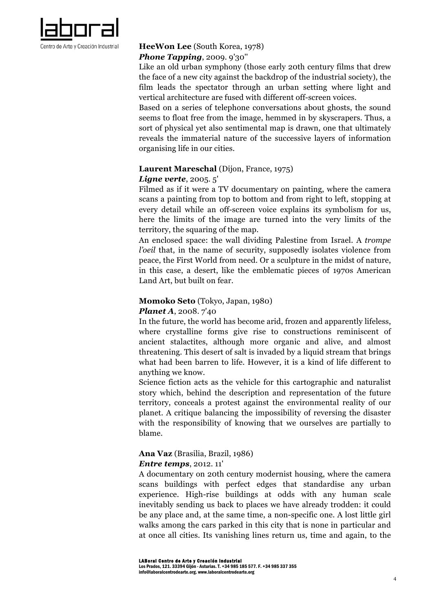

# **HeeWon Lee** (South Korea, 1978)

# *Phone Tapping*, 2009. 9'30''

Like an old urban symphony (those early 20th century films that drew the face of a new city against the backdrop of the industrial society), the film leads the spectator through an urban setting where light and vertical architecture are fused with different off-screen voices.

Based on a series of telephone conversations about ghosts, the sound seems to float free from the image, hemmed in by skyscrapers. Thus, a sort of physical yet also sentimental map is drawn, one that ultimately reveals the immaterial nature of the successive layers of information organising life in our cities.

# **Laurent Mareschal** (Dijon, France, 1975)

# *Ligne verte*, 2005. 5'

Filmed as if it were a TV documentary on painting, where the camera scans a painting from top to bottom and from right to left, stopping at every detail while an off-screen voice explains its symbolism for us, here the limits of the image are turned into the very limits of the territory, the squaring of the map.

An enclosed space: the wall dividing Palestine from Israel. A *trompe l'oeil* that, in the name of security, supposedly isolates violence from peace, the First World from need. Or a sculpture in the midst of nature, in this case, a desert, like the emblematic pieces of 1970s American Land Art, but built on fear.

# **Momoko Seto** (Tokyo, Japan, 1980)

## *Planet A*, 2008. 7'40

In the future, the world has become arid, frozen and apparently lifeless, where crystalline forms give rise to constructions reminiscent of ancient stalactites, although more organic and alive, and almost threatening. This desert of salt is invaded by a liquid stream that brings what had been barren to life. However, it is a kind of life different to anything we know.

Science fiction acts as the vehicle for this cartographic and naturalist story which, behind the description and representation of the future territory, conceals a protest against the environmental reality of our planet. A critique balancing the impossibility of reversing the disaster with the responsibility of knowing that we ourselves are partially to blame.

#### **Ana Vaz** (Brasilia, Brazil, 1986) *Entre temps*, 2012. 11'

A documentary on 20th century modernist housing, where the camera scans buildings with perfect edges that standardise any urban experience. High-rise buildings at odds with any human scale inevitably sending us back to places we have already trodden: it could be any place and, at the same time, a non-specific one. A lost little girl walks among the cars parked in this city that is none in particular and at once all cities. Its vanishing lines return us, time and again, to the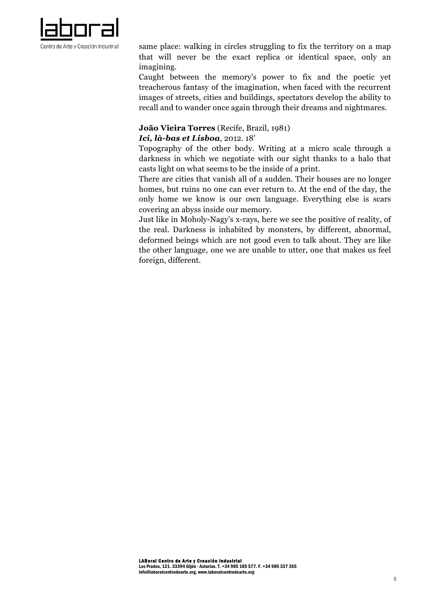

same place: walking in circles struggling to fix the territory on a map that will never be the exact replica or identical space, only an imagining.

Caught between the memory's power to fix and the poetic yet treacherous fantasy of the imagination, when faced with the recurrent images of streets, cities and buildings, spectators develop the ability to recall and to wander once again through their dreams and nightmares.

# **João Vieira Torres** (Recife, Brazil, 1981)

# *Ici, là-bas et Lisboa*, 2012. 18'

Topography of the other body. Writing at a micro scale through a darkness in which we negotiate with our sight thanks to a halo that casts light on what seems to be the inside of a print.

There are cities that vanish all of a sudden. Their houses are no longer homes, but ruins no one can ever return to. At the end of the day, the only home we know is our own language. Everything else is scars covering an abyss inside our memory.

Just like in Moholy-Nagy's x-rays, here we see the positive of reality, of the real. Darkness is inhabited by monsters, by different, abnormal, deformed beings which are not good even to talk about. They are like the other language, one we are unable to utter, one that makes us feel foreign, different.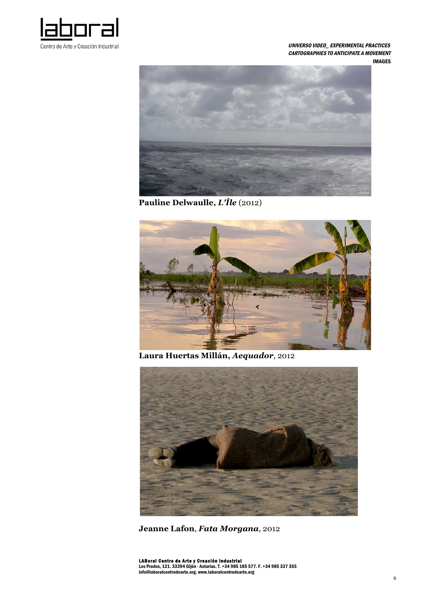

 UNIVERSO VIDEO\_ EXPERIMENTAL PRACTICES CARTOGRAPHIES TO ANTICIPATE A MOVEMENT IMAGES



**Pauline Delwaulle,** *L'Île* (2012)



**Laura Huertas Millán,** *Aequador*, 2012



**Jeanne Lafon**, *Fata Morgana*, 2012

LABoral Centro de Arte y Creación Industrial<br>Los Prados, 121. 33394 Gijón - Asturias. T. +34 985 185 577. F. +34 985 337 355<br>info@laboralcentrodearte.org. www.laboralcentrodearte.org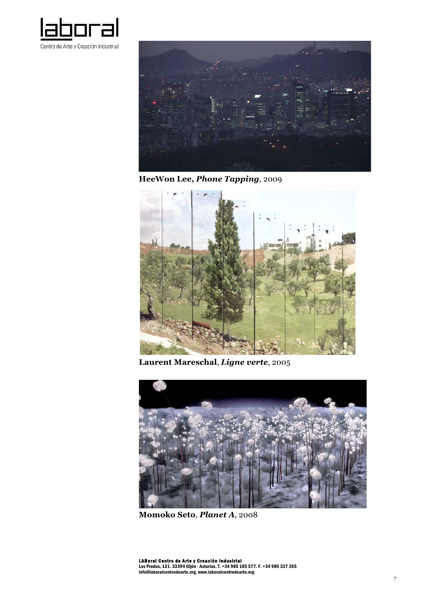



**HeeWon Lee,** *Phone Tapping*, 2009



**Laurent Mareschal**, *Ligne verte*, 2005



**Momoko Seto**, *Planet A*, 2008

LABoral Centro de Arte y Creación Industrial<br>Los Prados, 121. 33394 Gijón - Asturias. T. +34 985 185 577. F. +34 985 337 355<br>info@laboralcentrodearte.org. www.laboralcentrodearte.org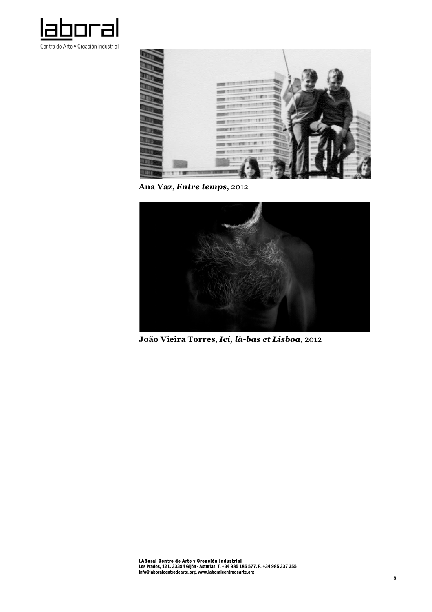



**Ana Vaz**, *Entre temps*, 2012



**João Vieira Torres**, *Ici, là-bas et Lisboa*, 2012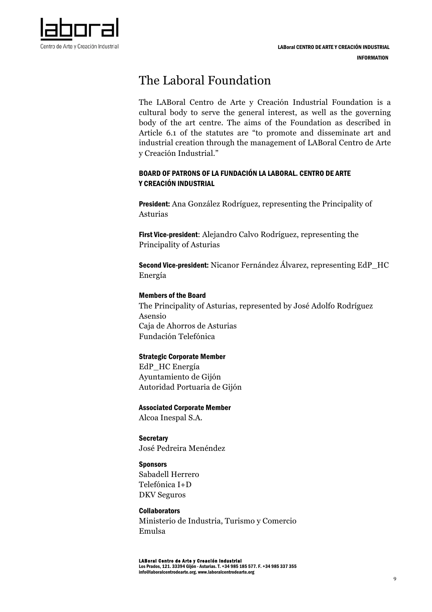

# The Laboral Foundation

The LABoral Centro de Arte y Creación Industrial Foundation is a cultural body to serve the general interest, as well as the governing body of the art centre. The aims of the Foundation as described in Article 6.1 of the statutes are "to promote and disseminate art and industrial creation through the management of LABoral Centro de Arte y Creación Industrial."

# BOARD OF PATRONS OF LA FUNDACIÓN LA LABORAL. CENTRO DE ARTE Y CREACIÓN INDUSTRIAL

President: Ana González Rodríguez, representing the Principality of Asturias

First Vice-president: Alejandro Calvo Rodríguez, representing the Principality of Asturias

Second Vice-president: Nicanor Fernández Álvarez, representing EdP\_HC Energía

## Members of the Board

The Principality of Asturias, represented by José Adolfo Rodríguez Asensio Caja de Ahorros de Asturias Fundación Telefónica

## Strategic Corporate Member

EdP\_HC Energía Ayuntamiento de Gijón Autoridad Portuaria de Gijón

# Associated Corporate Member

Alcoa Inespal S.A.

**Secretary** José Pedreira Menéndez

## **Sponsors**

Sabadell Herrero Telefónica I+D DKV Seguros

## **Collaborators**

Ministerio de Industria, Turismo y Comercio Emulsa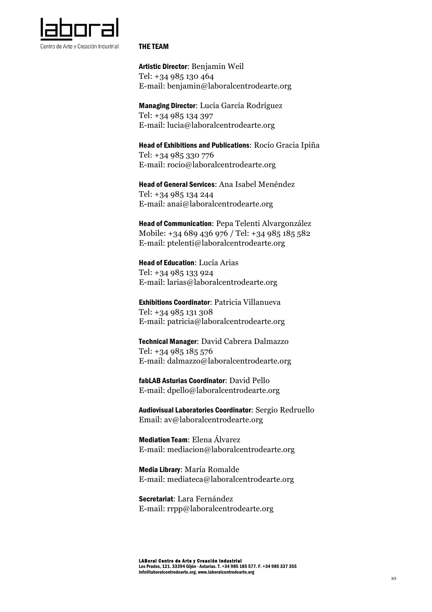

#### THE TEAM

Artistic Director: Benjamin Weil Tel: +34 985 130 464 E-mail: benjamin@laboralcentrodearte.org

Managing Director: Lucía García Rodríguez Tel: +34 985 134 397 E-mail: lucia@laboralcentrodearte.org

Head of Exhibitions and Publications: Rocío Gracia Ipiña Tel: +34 985 330 776 E-mail: rocio@laboralcentrodearte.org

Head of General Services: Ana Isabel Menéndez Tel: +34 985 134 244 E-mail: anai@laboralcentrodearte.org

Head of Communication: Pepa Telenti Alvargonzález Mobile: +34 689 436 976 / Tel: +34 985 185 582 E-mail: ptelenti@laboralcentrodearte.org

Head of Education: Lucía Arias Tel: +34 985 133 924 E-mail: larias@laboralcentrodearte.org

Exhibitions Coordinator: Patricia Villanueva Tel: +34 985 131 308 E-mail: patricia@laboralcentrodearte.org

Technical Manager: David Cabrera Dalmazzo Tel: +34 985 185 576 E-mail: dalmazzo@laboralcentrodearte.org

fabLAB Asturias Coordinator: David Pello E-mail: dpello@laboralcentrodearte.org

Audiovisual Laboratories Coordinator: Sergio Redruello Email: av@laboralcentrodearte.org

Mediation Team: Elena Álvarez E-mail: mediacion@laboralcentrodearte.org

Media Library: María Romalde E-mail: mediateca@laboralcentrodearte.org

Secretariat: Lara Fernández E-mail: rrpp@laboralcentrodearte.org

LABoral Centro de Arte y Creación Industrial Los Prados, 121. 33394 Gijón - Asturias. T. +34 985 185 577. F. +34 985 337 355 info@laboralcentrodearte.org. www.laboralcentrodearte.org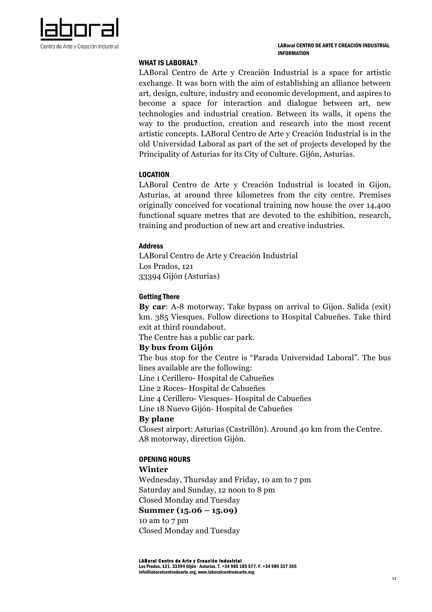

#### WHAT IS LABORAL?

LABoral Centro de Arte y Creación Industrial is a space for artistic exchange. It was born with the aim of establishing an alliance between art, design, culture, industry and economic development, and aspires to become a space for interaction and dialogue between art, new technologies and industrial creation. Between its walls, it opens the way to the production, creation and research into the most recent artistic concepts. LABoral Centro de Arte y Creación Industrial is in the old Universidad Laboral as part of the set of projects developed by the Principality of Asturias for its City of Culture. Gijón, Asturias.

#### LOCATION

LABoral Centro de Arte y Creación Industrial is located in Gijon, Asturias, at around three kilometres from the city centre. Premises originally conceived for vocational training now house the over 14,400 functional square metres that are devoted to the exhibition, research, training and production of new art and creative industries.

#### Address

LABoral Centro de Arte y Creación Industrial Los Prados, 121 33394 Gijón (Asturias)

#### Getting There

**By car**: A-8 motorway. Take bypass on arrival to Gijon. Salida (exit) km. 385 Viesques. Follow directions to Hospital Cabueñes. Take third exit at third roundabout.

The Centre has a public car park.

## **By bus from Gijón**

The bus stop for the Centre is "Parada Universidad Laboral". The bus lines available are the following:

Line 1 Cerillero- Hospital de Cabueñes

Line 2 Roces- Hospital de Cabueñes

Line 4 Cerillero- Viesques- Hospital de Cabueñes

Line 18 Nuevo Gijón- Hospital de Cabueñes

## **By plane**

Closest airport: Asturias (Castrillón). Around 40 km from the Centre. A8 motorway, direction Gijón.

## OPENING HOURS

## **Winter**

Wednesday, Thursday and Friday, 10 am to 7 pm Saturday and Sunday, 12 noon to 8 pm Closed Monday and Tuesday

## **Summer (15.06 – 15.09)**

10 am to 7 pm Closed Monday and Tuesday